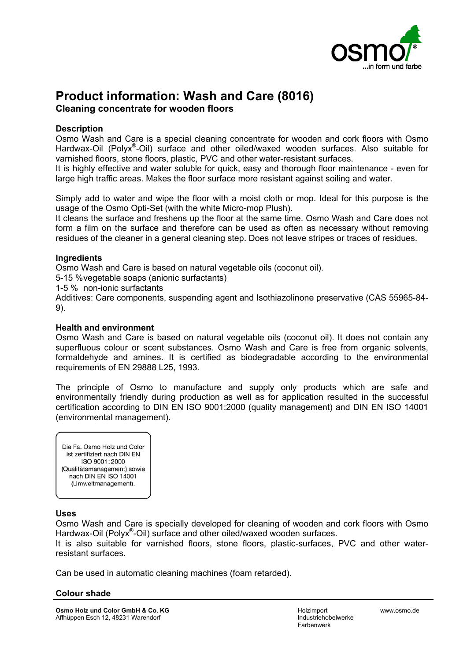

# **Product information: Wash and Care (8016)**

**Cleaning concentrate for wooden floors**

## **Description**

Osmo Wash and Care is a special cleaning concentrate for wooden and cork floors with Osmo Hardwax-Oil (Polyx<sup>®</sup>-Oil) surface and other oiled/waxed wooden surfaces. Also suitable for varnished floors, stone floors, plastic, PVC and other water-resistant surfaces.

It is highly effective and water soluble for quick, easy and thorough floor maintenance - even for large high traffic areas. Makes the floor surface more resistant against soiling and water.

Simply add to water and wipe the floor with a moist cloth or mop. Ideal for this purpose is the usage of the Osmo Opti-Set (with the white Micro-mop Plush).

It cleans the surface and freshens up the floor at the same time. Osmo Wash and Care does not form a film on the surface and therefore can be used as often as necessary without removing residues of the cleaner in a general cleaning step. Does not leave stripes or traces of residues.

## **Ingredients**

Osmo Wash and Care is based on natural vegetable oils (coconut oil).

5-15 % vegetable soaps (anionic surfactants)

1-5 % non-ionic surfactants

Additives: Care components, suspending agent and Isothiazolinone preservative (CAS 55965-84- 9).

## **Health and environment**

Osmo Wash and Care is based on natural vegetable oils (coconut oil). It does not contain any superfluous colour or scent substances. Osmo Wash and Care is free from organic solvents, formaldehyde and amines. It is certified as biodegradable according to the environmental requirements of EN 29888 L25, 1993.

The principle of Osmo to manufacture and supply only products which are safe and environmentally friendly during production as well as for application resulted in the successful certification according to DIN EN ISO 9001:2000 (quality management) and DIN EN ISO 14001 (environmental management).

Die Ea. Osmo Holz und Color ist zertifiziert nach DIN EN ISO 9001:2000 (Qualitätsmanagement) sowie nach DIN EN ISO 14001 (Umweltmanagement).

## **Uses**

Osmo Wash and Care is specially developed for cleaning of wooden and cork floors with Osmo Hardwax-Oil (Polyx<sup>®</sup>-Oil) surface and other oiled/waxed wooden surfaces.

It is also suitable for varnished floors, stone floors, plastic-surfaces, PVC and other waterresistant surfaces.

Can be used in automatic cleaning machines (foam retarded).

## **Colour shade**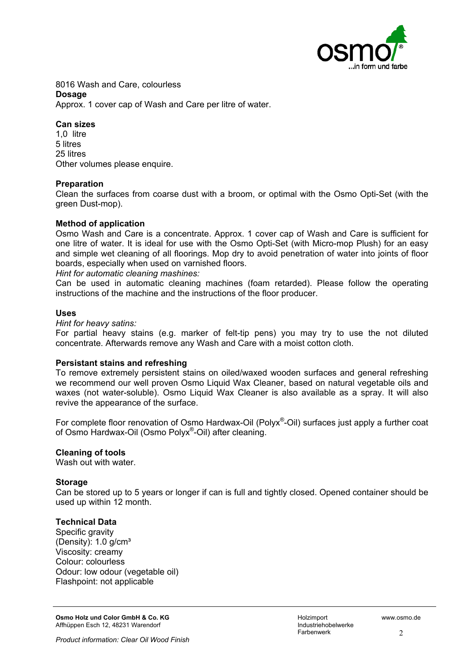

8016 Wash and Care, colourless **Dosage** Approx. 1 cover cap of Wash and Care per litre of water.

#### **Can sizes**

1,0 litre 5 litres 25 litres Other volumes please enquire.

#### **Preparation**

Clean the surfaces from coarse dust with a broom, or optimal with the Osmo Opti-Set (with the green Dust-mop).

#### **Method of application**

Osmo Wash and Care is a concentrate. Approx. 1 cover cap of Wash and Care is sufficient for one litre of water. It is ideal for use with the Osmo Opti-Set (with Micro-mop Plush) for an easy and simple wet cleaning of all floorings. Mop dry to avoid penetration of water into joints of floor boards, especially when used on varnished floors.

#### *Hint for automatic cleaning mashines:*

Can be used in automatic cleaning machines (foam retarded). Please follow the operating instructions of the machine and the instructions of the floor producer.

#### **Uses**

#### *Hint for heavy satins:*

For partial heavy stains (e.g. marker of felt-tip pens) you may try to use the not diluted concentrate. Afterwards remove any Wash and Care with a moist cotton cloth.

## **Persistant stains and refreshing**

To remove extremely persistent stains on oiled/waxed wooden surfaces and general refreshing we recommend our well proven Osmo Liquid Wax Cleaner, based on natural vegetable oils and waxes (not water-soluble). Osmo Liquid Wax Cleaner is also available as a spray. It will also revive the appearance of the surface.

For complete floor renovation of Osmo Hardwax-Oil (Polyx<sup>®</sup>-Oil) surfaces just apply a further coat of Osmo Hardwax-Oil (Osmo Polyx®-Oil) after cleaning.

## **Cleaning of tools**

Wash out with water

## **Storage**

Can be stored up to 5 years or longer if can is full and tightly closed. Opened container should be used up within 12 month.

## **Technical Data**

Specific gravity (Density): 1.0 g/cm³ Viscosity: creamy Colour: colourless Odour: low odour (vegetable oil) Flashpoint: not applicable